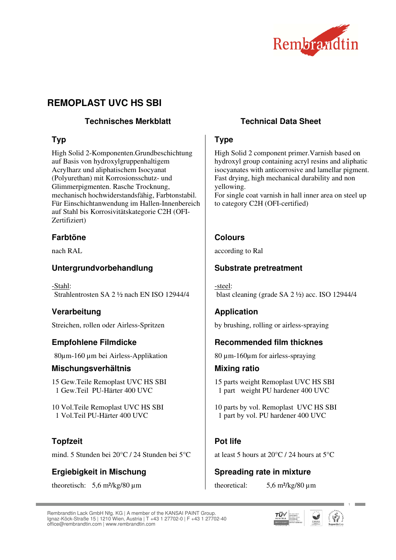

# **REMOPLAST UVC HS SBI**

## **Technisches Merkblatt Technical Data Sheet**

# **Typ**

High Solid 2-Komponenten.Grundbeschichtung auf Basis von hydroxylgruppenhaltigem Acrylharz und aliphatischem Isocyanat (Polyurethan) mit Korrosionsschutz- und Glimmerpigmenten. Rasche Trocknung, mechanisch hochwiderstandsfähig, Farbtonstabil. Für Einschichtanwendung im Hallen-Innenbereich auf Stahl bis Korrosivitätskategorie C2H (OFI-Zertifiziert)

# **Farbtöne**

nach RAL

# **Untergrundvorbehandlung**

-Stahl: Strahlentrosten SA 2 ½ nach EN ISO 12944/4

# **Verarbeitung**

Streichen, rollen oder Airless-Spritzen

# **Empfohlene Filmdicke**

80µm-160 µm bei Airless-Applikation

#### **Mischungsverhältnis**

15 Gew.Teile Remoplast UVC HS SBI 1 Gew.Teil PU-Härter 400 UVC

10 Vol.Teile Remoplast UVC HS SBI 1 Vol.Teil PU-Härter 400 UVC

# **Topfzeit**

mind. 5 Stunden bei 20°C / 24 Stunden bei 5°C

# **Ergiebigkeit in Mischung**

theoretisch:  $5.6 \text{ m}^2/\text{kg}/80 \text{ }\mu\text{m}$ 

# **Type**

High Solid 2 component primer.Varnish based on hydroxyl group containing acryl resins and aliphatic isocyanates with anticorrosive and lamellar pigment. Fast drying, high mechanical durability and non yellowing.

For single coat varnish in hall inner area on steel up to category C2H (OFI-certified)

# **Colours**

according to Ral

## **Substrate pretreatment**

-steel: blast cleaning (grade SA 2 ½) acc. ISO 12944/4

# **Application**

by brushing, rolling or airless-spraying

# **Recommended film thicknes**

80 µm-160µm for airless-spraying

#### **Mixing ratio**

15 parts weight Remoplast UVC HS SBI 1 part weight PU hardener 400 UVC

10 parts by vol. Remoplast UVC HS SBI 1 part by vol. PU hardener 400 UVC

# **Pot life**

at least 5 hours at 20°C / 24 hours at 5°C

# **Spreading rate in mixture**

theoretical:  $5.6 \text{ m}^2/\text{kg}/80 \text{ }\mu\text{m}$ 

Rembrandtin Lack GmbH Nfg. KG | A member of the KANSAI PAINT Group. Ignaz-Köck-Straße 15 | 1210 Wien, Austria | T +43 1 27702-0 | F +43 1 27702-40 office@rembrandtin.com | www.rembrandtin.com



**1**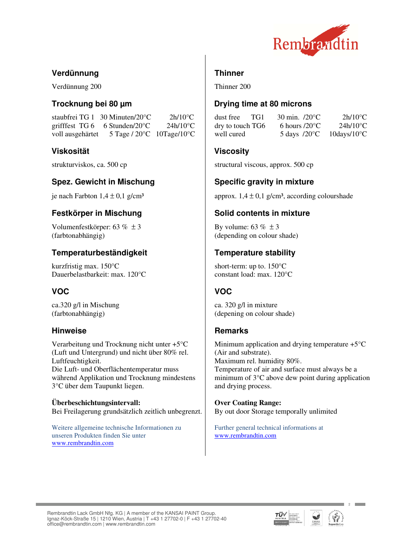

## **Verdünnung**

Verdünnung 200

#### **Trocknung bei 80 µm**

staubfrei TG 1 30 Minuten/20°C 2h/10°C grifffest TG 6 6 Stunden/20°C 24h/10°C voll ausgehärtet 5 Tage / 20°C 10Tage/10°C

#### **Viskosität**

strukturviskos, ca. 500 cp

## **Spez. Gewicht in Mischung**

je nach Farbton  $1.4 \pm 0.1$  g/cm<sup>3</sup>

#### **Festkörper in Mischung**

Volumenfestkörper: 63 % ± 3 (farbtonabhängig)

## **Temperaturbeständigkeit**

kurzfristig max. 150°C Dauerbelastbarkeit: max. 120°C

# **VOC**

ca.320 g/l in Mischung (farbtonabhängig)

#### **Hinweise**

Verarbeitung und Trocknung nicht unter +5°C (Luft und Untergrund) und nicht über 80% rel. Luftfeuchtigkeit. Die Luft- und Oberflächentemperatur muss während Applikation und Trocknung mindestens 3°C über dem Taupunkt liegen.

**Überbeschichtungsintervall:**  Bei Freilagerung grundsätzlich zeitlich unbegrenzt.

Weitere allgemeine technische Informationen zu unseren Produkten finden Sie unter www.rembrandtin.com

## **Thinner**

Thinner 200

### **Drying time at 80 microns**

dust free TG1 30 min. /20°C 2h/10°C dry to touch TG6 6 hours  $/20^{\circ}$ C 24h/10<sup>o</sup>C well cured 5 days /20°C 10days/10°C

#### **Viscosity**

structural viscous, approx. 500 cp

# **Specific gravity in mixture**

approx.  $1,4 \pm 0,1$  g/cm<sup>3</sup>, according colourshade

#### **Solid contents in mixture**

By volume:  $63\% \pm 3$ (depending on colour shade)

#### **Temperature stability**

short-term: up to. 150°C constant load: max. 120°C

# **VOC**

ca. 320 g/l in mixture (depening on colour shade)

# **Remarks**

Minimum application and drying temperature  $+5^{\circ}$ C (Air and substrate). Maximum rel. humidity 80%. Temperature of air and surface must always be a minimum of 3°C above dew point during application and drying process.

**Over Coating Range:**  By out door Storage temporally unlimited

Further general technical informations at www.rembrandtin.com